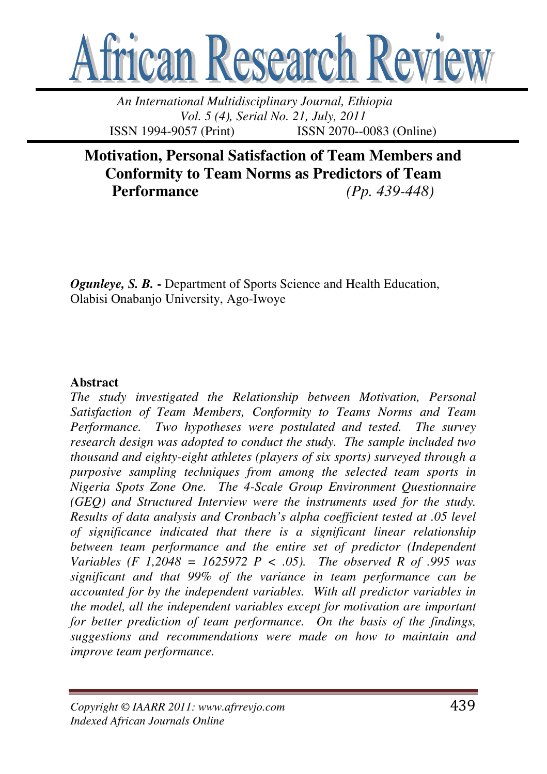

*An International Multidisciplinary Journal, Ethiopia Vol. 5 (4), Serial No. 21, July, 2011*  ISSN 1994-9057 (Print) ISSN 2070--0083 (Online)

**Motivation, Personal Satisfaction of Team Members and Conformity to Team Norms as Predictors of Team Performance** *(Pp. 439-448)* 

*Ogunleye, S. B.* - Department of Sports Science and Health Education, Olabisi Onabanjo University, Ago-Iwoye

## **Abstract**

*The study investigated the Relationship between Motivation, Personal Satisfaction of Team Members, Conformity to Teams Norms and Team Performance. Two hypotheses were postulated and tested. The survey research design was adopted to conduct the study. The sample included two thousand and eighty-eight athletes (players of six sports) surveyed through a purposive sampling techniques from among the selected team sports in Nigeria Spots Zone One. The 4-Scale Group Environment Questionnaire (GEQ) and Structured Interview were the instruments used for the study. Results of data analysis and Cronbach's alpha coefficient tested at .05 level of significance indicated that there is a significant linear relationship between team performance and the entire set of predictor (Independent Variables (F 1,2048 = 1625972 P < .05). The observed R of .995 was significant and that 99% of the variance in team performance can be accounted for by the independent variables. With all predictor variables in the model, all the independent variables except for motivation are important for better prediction of team performance. On the basis of the findings, suggestions and recommendations were made on how to maintain and improve team performance.*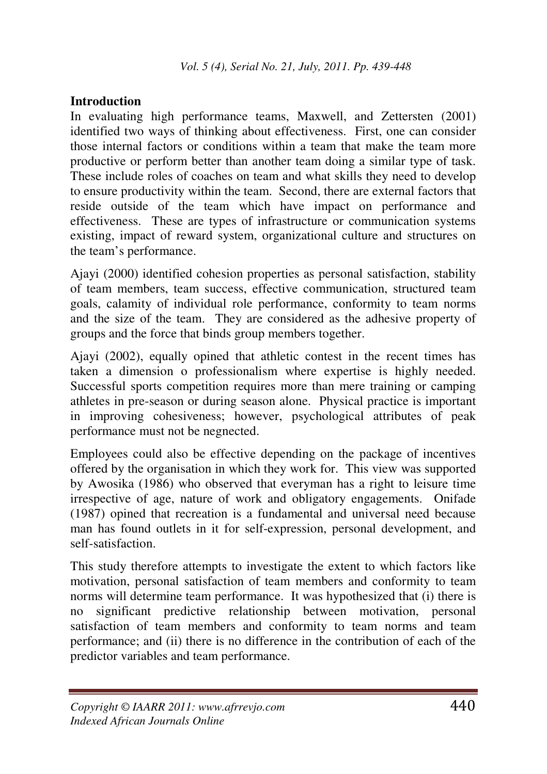# **Introduction**

In evaluating high performance teams, Maxwell, and Zettersten (2001) identified two ways of thinking about effectiveness. First, one can consider those internal factors or conditions within a team that make the team more productive or perform better than another team doing a similar type of task. These include roles of coaches on team and what skills they need to develop to ensure productivity within the team. Second, there are external factors that reside outside of the team which have impact on performance and effectiveness. These are types of infrastructure or communication systems existing, impact of reward system, organizational culture and structures on the team's performance.

Ajayi (2000) identified cohesion properties as personal satisfaction, stability of team members, team success, effective communication, structured team goals, calamity of individual role performance, conformity to team norms and the size of the team. They are considered as the adhesive property of groups and the force that binds group members together.

Ajayi (2002), equally opined that athletic contest in the recent times has taken a dimension o professionalism where expertise is highly needed. Successful sports competition requires more than mere training or camping athletes in pre-season or during season alone. Physical practice is important in improving cohesiveness; however, psychological attributes of peak performance must not be negnected.

Employees could also be effective depending on the package of incentives offered by the organisation in which they work for. This view was supported by Awosika (1986) who observed that everyman has a right to leisure time irrespective of age, nature of work and obligatory engagements. Onifade (1987) opined that recreation is a fundamental and universal need because man has found outlets in it for self-expression, personal development, and self-satisfaction.

This study therefore attempts to investigate the extent to which factors like motivation, personal satisfaction of team members and conformity to team norms will determine team performance. It was hypothesized that (i) there is no significant predictive relationship between motivation, personal satisfaction of team members and conformity to team norms and team performance; and (ii) there is no difference in the contribution of each of the predictor variables and team performance.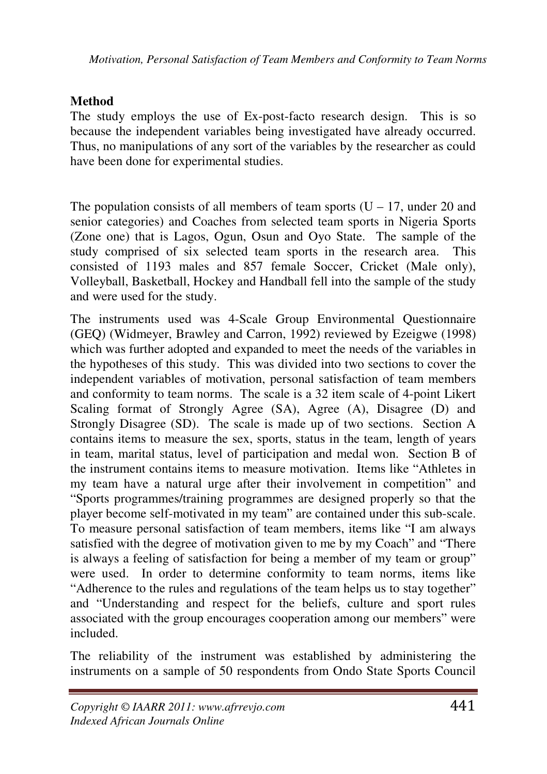*Motivation, Personal Satisfaction of Team Members and Conformity to Team Norms* 

# **Method**

The study employs the use of Ex-post-facto research design. This is so because the independent variables being investigated have already occurred. Thus, no manipulations of any sort of the variables by the researcher as could have been done for experimental studies.

The population consists of all members of team sports  $(U - 17)$ , under 20 and senior categories) and Coaches from selected team sports in Nigeria Sports (Zone one) that is Lagos, Ogun, Osun and Oyo State. The sample of the study comprised of six selected team sports in the research area. This consisted of 1193 males and 857 female Soccer, Cricket (Male only), Volleyball, Basketball, Hockey and Handball fell into the sample of the study and were used for the study.

The instruments used was 4-Scale Group Environmental Questionnaire (GEQ) (Widmeyer, Brawley and Carron, 1992) reviewed by Ezeigwe (1998) which was further adopted and expanded to meet the needs of the variables in the hypotheses of this study. This was divided into two sections to cover the independent variables of motivation, personal satisfaction of team members and conformity to team norms. The scale is a 32 item scale of 4-point Likert Scaling format of Strongly Agree (SA), Agree (A), Disagree (D) and Strongly Disagree (SD). The scale is made up of two sections. Section A contains items to measure the sex, sports, status in the team, length of years in team, marital status, level of participation and medal won. Section B of the instrument contains items to measure motivation. Items like "Athletes in my team have a natural urge after their involvement in competition" and "Sports programmes/training programmes are designed properly so that the player become self-motivated in my team" are contained under this sub-scale. To measure personal satisfaction of team members, items like "I am always satisfied with the degree of motivation given to me by my Coach" and "There is always a feeling of satisfaction for being a member of my team or group" were used. In order to determine conformity to team norms, items like "Adherence to the rules and regulations of the team helps us to stay together" and "Understanding and respect for the beliefs, culture and sport rules associated with the group encourages cooperation among our members" were included.

The reliability of the instrument was established by administering the instruments on a sample of 50 respondents from Ondo State Sports Council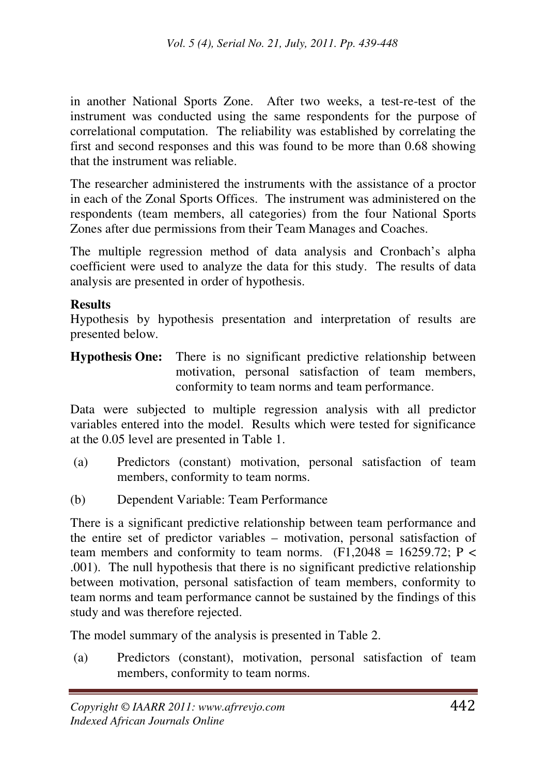in another National Sports Zone. After two weeks, a test-re-test of the instrument was conducted using the same respondents for the purpose of correlational computation. The reliability was established by correlating the first and second responses and this was found to be more than 0.68 showing that the instrument was reliable.

The researcher administered the instruments with the assistance of a proctor in each of the Zonal Sports Offices. The instrument was administered on the respondents (team members, all categories) from the four National Sports Zones after due permissions from their Team Manages and Coaches.

The multiple regression method of data analysis and Cronbach's alpha coefficient were used to analyze the data for this study. The results of data analysis are presented in order of hypothesis.

#### **Results**

Hypothesis by hypothesis presentation and interpretation of results are presented below.

**Hypothesis One:** There is no significant predictive relationship between motivation, personal satisfaction of team members, conformity to team norms and team performance.

Data were subjected to multiple regression analysis with all predictor variables entered into the model. Results which were tested for significance at the 0.05 level are presented in Table 1.

- (a) Predictors (constant) motivation, personal satisfaction of team members, conformity to team norms.
- (b) Dependent Variable: Team Performance

There is a significant predictive relationship between team performance and the entire set of predictor variables – motivation, personal satisfaction of team members and conformity to team norms.  $(F1,2048 = 16259.72; P <$ .001). The null hypothesis that there is no significant predictive relationship between motivation, personal satisfaction of team members, conformity to team norms and team performance cannot be sustained by the findings of this study and was therefore rejected.

The model summary of the analysis is presented in Table 2.

 (a) Predictors (constant), motivation, personal satisfaction of team members, conformity to team norms.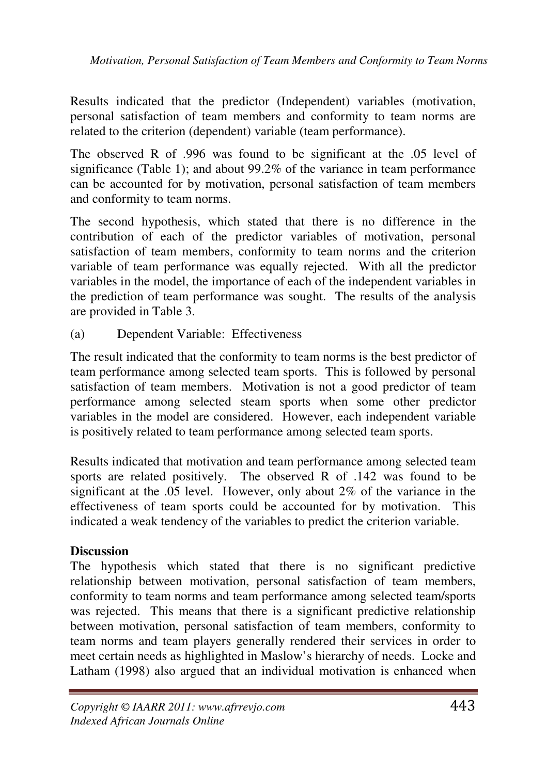Results indicated that the predictor (Independent) variables (motivation, personal satisfaction of team members and conformity to team norms are related to the criterion (dependent) variable (team performance).

The observed R of .996 was found to be significant at the .05 level of significance (Table 1); and about 99.2% of the variance in team performance can be accounted for by motivation, personal satisfaction of team members and conformity to team norms.

The second hypothesis, which stated that there is no difference in the contribution of each of the predictor variables of motivation, personal satisfaction of team members, conformity to team norms and the criterion variable of team performance was equally rejected. With all the predictor variables in the model, the importance of each of the independent variables in the prediction of team performance was sought. The results of the analysis are provided in Table 3.

(a) Dependent Variable: Effectiveness

The result indicated that the conformity to team norms is the best predictor of team performance among selected team sports. This is followed by personal satisfaction of team members. Motivation is not a good predictor of team performance among selected steam sports when some other predictor variables in the model are considered. However, each independent variable is positively related to team performance among selected team sports.

Results indicated that motivation and team performance among selected team sports are related positively. The observed R of .142 was found to be significant at the .05 level. However, only about 2% of the variance in the effectiveness of team sports could be accounted for by motivation. This indicated a weak tendency of the variables to predict the criterion variable.

# **Discussion**

The hypothesis which stated that there is no significant predictive relationship between motivation, personal satisfaction of team members, conformity to team norms and team performance among selected team/sports was rejected. This means that there is a significant predictive relationship between motivation, personal satisfaction of team members, conformity to team norms and team players generally rendered their services in order to meet certain needs as highlighted in Maslow's hierarchy of needs. Locke and Latham (1998) also argued that an individual motivation is enhanced when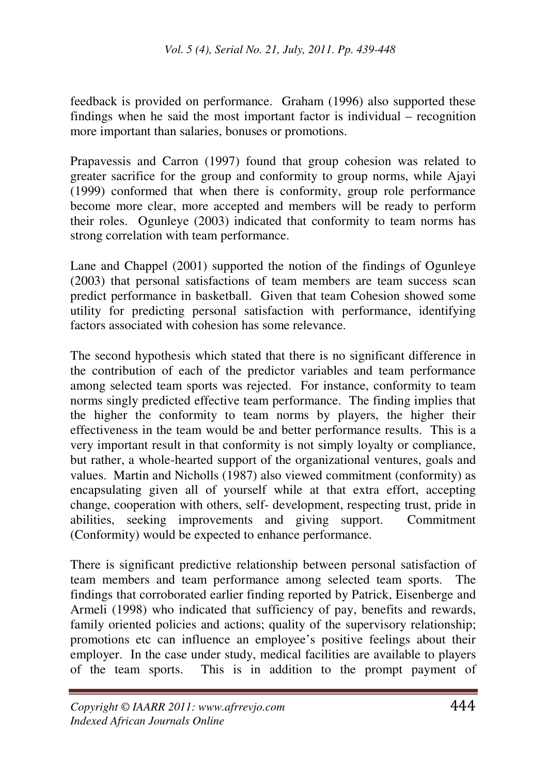feedback is provided on performance. Graham (1996) also supported these findings when he said the most important factor is individual – recognition more important than salaries, bonuses or promotions.

Prapavessis and Carron (1997) found that group cohesion was related to greater sacrifice for the group and conformity to group norms, while Ajayi (1999) conformed that when there is conformity, group role performance become more clear, more accepted and members will be ready to perform their roles. Ogunleye (2003) indicated that conformity to team norms has strong correlation with team performance.

Lane and Chappel (2001) supported the notion of the findings of Ogunleye (2003) that personal satisfactions of team members are team success scan predict performance in basketball. Given that team Cohesion showed some utility for predicting personal satisfaction with performance, identifying factors associated with cohesion has some relevance.

The second hypothesis which stated that there is no significant difference in the contribution of each of the predictor variables and team performance among selected team sports was rejected. For instance, conformity to team norms singly predicted effective team performance. The finding implies that the higher the conformity to team norms by players, the higher their effectiveness in the team would be and better performance results. This is a very important result in that conformity is not simply loyalty or compliance, but rather, a whole-hearted support of the organizational ventures, goals and values. Martin and Nicholls (1987) also viewed commitment (conformity) as encapsulating given all of yourself while at that extra effort, accepting change, cooperation with others, self- development, respecting trust, pride in abilities, seeking improvements and giving support. Commitment (Conformity) would be expected to enhance performance.

There is significant predictive relationship between personal satisfaction of team members and team performance among selected team sports. The findings that corroborated earlier finding reported by Patrick, Eisenberge and Armeli (1998) who indicated that sufficiency of pay, benefits and rewards, family oriented policies and actions; quality of the supervisory relationship; promotions etc can influence an employee's positive feelings about their employer. In the case under study, medical facilities are available to players of the team sports. This is in addition to the prompt payment of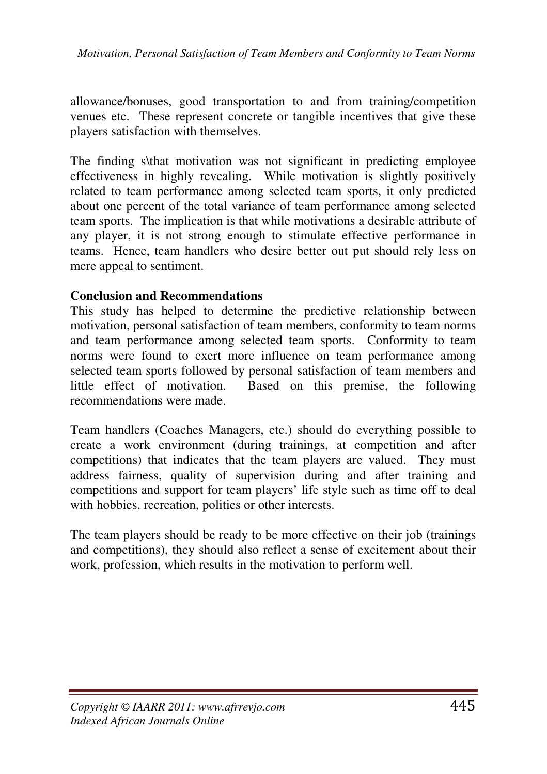*Motivation, Personal Satisfaction of Team Members and Conformity to Team Norms* 

allowance/bonuses, good transportation to and from training/competition venues etc. These represent concrete or tangible incentives that give these players satisfaction with themselves.

The finding s\that motivation was not significant in predicting employee effectiveness in highly revealing. While motivation is slightly positively related to team performance among selected team sports, it only predicted about one percent of the total variance of team performance among selected team sports. The implication is that while motivations a desirable attribute of any player, it is not strong enough to stimulate effective performance in teams. Hence, team handlers who desire better out put should rely less on mere appeal to sentiment.

# **Conclusion and Recommendations**

This study has helped to determine the predictive relationship between motivation, personal satisfaction of team members, conformity to team norms and team performance among selected team sports. Conformity to team norms were found to exert more influence on team performance among selected team sports followed by personal satisfaction of team members and little effect of motivation. Based on this premise, the following recommendations were made.

Team handlers (Coaches Managers, etc.) should do everything possible to create a work environment (during trainings, at competition and after competitions) that indicates that the team players are valued. They must address fairness, quality of supervision during and after training and competitions and support for team players' life style such as time off to deal with hobbies, recreation, polities or other interests.

The team players should be ready to be more effective on their job (trainings and competitions), they should also reflect a sense of excitement about their work, profession, which results in the motivation to perform well.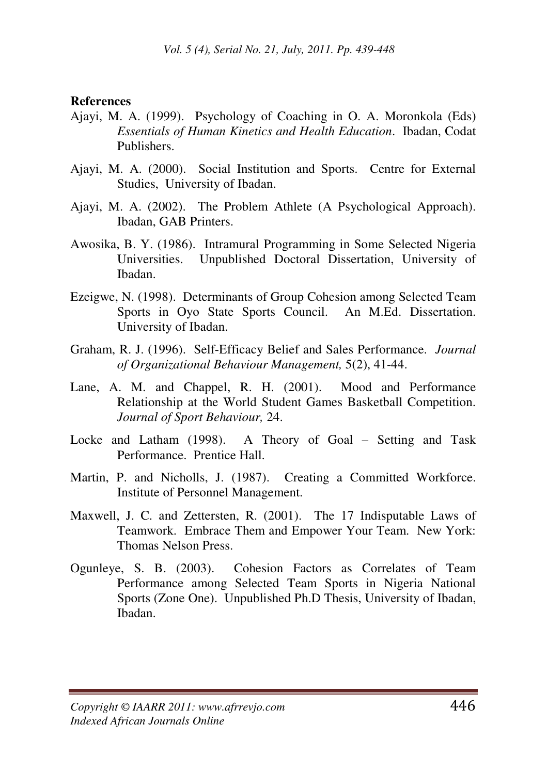#### **References**

- Ajayi, M. A. (1999). Psychology of Coaching in O. A. Moronkola (Eds) *Essentials of Human Kinetics and Health Education*. Ibadan, Codat Publishers.
- Ajayi, M. A. (2000). Social Institution and Sports. Centre for External Studies, University of Ibadan.
- Ajayi, M. A. (2002). The Problem Athlete (A Psychological Approach). Ibadan, GAB Printers.
- Awosika, B. Y. (1986). Intramural Programming in Some Selected Nigeria Universities. Unpublished Doctoral Dissertation, University of Ibadan.
- Ezeigwe, N. (1998). Determinants of Group Cohesion among Selected Team Sports in Oyo State Sports Council. An M.Ed. Dissertation. University of Ibadan.
- Graham, R. J. (1996). Self-Efficacy Belief and Sales Performance. *Journal of Organizational Behaviour Management,* 5(2), 41-44.
- Lane, A. M. and Chappel, R. H. (2001). Mood and Performance Relationship at the World Student Games Basketball Competition. *Journal of Sport Behaviour,* 24.
- Locke and Latham (1998). A Theory of Goal Setting and Task Performance. Prentice Hall.
- Martin, P. and Nicholls, J. (1987). Creating a Committed Workforce. Institute of Personnel Management.
- Maxwell, J. C. and Zettersten, R. (2001). The 17 Indisputable Laws of Teamwork. Embrace Them and Empower Your Team. New York: Thomas Nelson Press.
- Ogunleye, S. B. (2003). Cohesion Factors as Correlates of Team Performance among Selected Team Sports in Nigeria National Sports (Zone One). Unpublished Ph.D Thesis, University of Ibadan, Ibadan.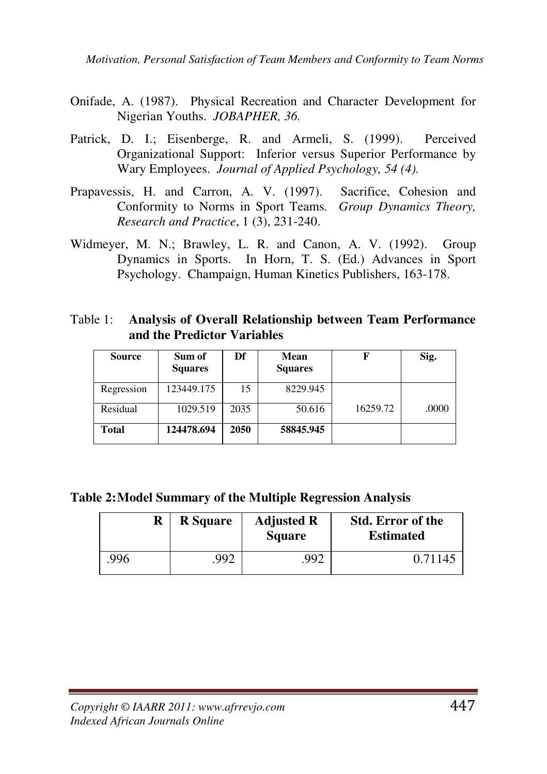*Motivation, Personal Satisfaction of Team Members and Conformity to Team Norms* 

- Onifade, A. (1987). Physical Recreation and Character Development for Nigerian Youths. *JOBAPHER, 36.*
- Patrick, D. I.; Eisenberge, R. and Armeli, S. (1999). Perceived Organizational Support: Inferior versus Superior Performance by Wary Employees. *Journal of Applied Psychology, 54 (4).*
- Prapavessis, H. and Carron, A. V. (1997). Sacrifice, Cohesion and Conformity to Norms in Sport Teams. *Group Dynamics Theory, Research and Practice*, 1 (3), 231-240.
- Widmeyer, M. N.; Brawley, L. R. and Canon, A. V. (1992). Group Dynamics in Sports. In Horn, T. S. (Ed.) Advances in Sport Psychology. Champaign, Human Kinetics Publishers, 163-178.

### Table 1: **Analysis of Overall Relationship between Team Performance and the Predictor Variables**

| Source     | Sum of<br><b>Squares</b> | Df   | Mean<br><b>Squares</b> |          | Sig.  |
|------------|--------------------------|------|------------------------|----------|-------|
| Regression | 123449.175               | 15   | 8229.945               |          |       |
| Residual   | 1029.519                 | 2035 | 50.616                 | 16259.72 | .0000 |
| Total      | 124478.694               | 2050 | 58845.945              |          |       |

**Table 2: Model Summary of the Multiple Regression Analysis** 

|     | R | <b>R</b> Square | <b>Adjusted R</b><br><b>Square</b> | <b>Std. Error of the</b><br><b>Estimated</b> |
|-----|---|-----------------|------------------------------------|----------------------------------------------|
| 996 |   | .992            | .992                               | 0.71145                                      |